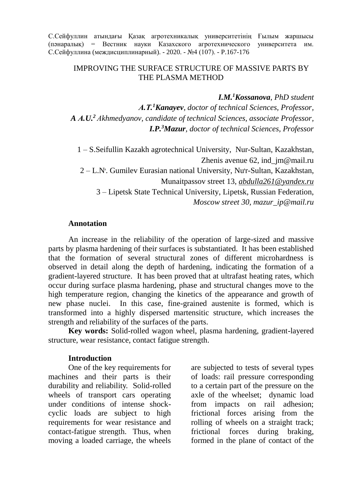С.Сейфуллин атындағы Қазақ агротехникалық университетінің Ғылым жаршысы (пәнаралық) = Вестник науки Казахского агротехнического университета им. С.Сейфуллина (междисциплинарный). - 2020. - №4 (107). - P.167-176

#### IMPROVING THE SURFACE STRUCTURE OF MASSIVE PARTS BY THE PLASMA METHOD

*I.M.<sup>1</sup>Kossanova, PhD student*

*А.Т.<sup>1</sup>Kanayev, doctor of technical Sciences, Professor, A А.U. <sup>2</sup> Аkhmedyanov, candidate of technical Sciences, associate Professor, I.P.<sup>3</sup>Mazur, doctor of technical Sciences, Professor*

1 – S.Seifullin Kazakh agrotechnical University, Nur-Sultan, Kazakhstan, Zhenis avenue 62, ind  $jm@mail.ru$ 2 – L.Nᡃ. Gumilev Eurasian national University, Nuᡃr-Sultan, Kazakhstan, Munaitpassov street 13, *[abdulla261@yandex.ru](mailto:abdulla261@yandex.ru)* 3 – Lipetsk State Technical University, Lipetsk, Russian Federation, *Moscow street 30, mazur\_ip@mail.ru*

#### **Annotation**

An increase in the reliability of the operation of large-sized and massive parts by plasma hardening of their surfaces is substantiated. It has been established that the formation of several structural zones of different microhardness is observed in detail along the depth of hardening, indicating the formation of a gradient-layered structure. It has been proved that at ultrafast heating rates, which occur during surface plasma hardening, phase and structural changes move to the high temperature region, changing the kinetics of the appearance and growth of new phase nuclei. In this case, fine-grained austenite is formed, which is transformed into a highly dispersed martensitic structure, which increases the strength and reliability of the surfaces of the parts.

**Key words:** Solid-rolled wagon wheel, plasma hardening, gradient-layered structure, wear resistance, contact fatigue strength.

#### **Introduction**

One of the key requirements for machines and their parts is their durability and reliability. Solid-rolled wheels of transport cars operating under conditions of intense shockcyclic loads are subject to high requirements for wear resistance and contact-fatigue strength. Thus, when moving a loaded carriage, the wheels

are subjected to tests of several types of loads: rail pressure corresponding to a certain part of the pressure on the axle of the wheelset; dynamic load from impacts on rail adhesion; frictional forces arising from the rolling of wheels on a straight track; frictional forces during braking, formed in the plane of contact of the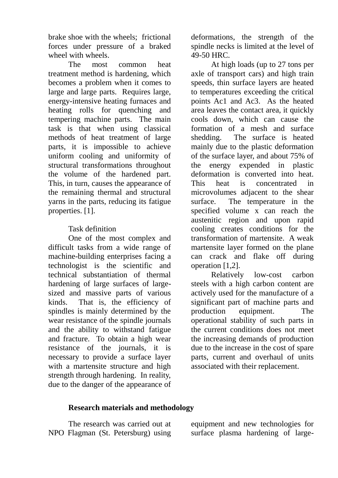brake shoe with the wheels; frictional forces under pressure of a braked wheel with wheels.

The most common heat treatment method is hardening, which becomes a problem when it comes to large and large parts. Requires large, energy-intensive heating furnaces and heating rolls for quenching and tempering machine parts. The main task is that when using classical methods of heat treatment of large parts, it is impossible to achieve uniform cooling and uniformity of structural transformations throughout the volume of the hardened part. This, in turn, causes the appearance of the remaining thermal and structural yarns in the parts, reducing its fatigue properties. [1].

### Task definition

One of the most complex and difficult tasks from a wide range of machine-building enterprises facing a technologist is the scientific and technical substantiation of thermal hardening of large surfaces of largesized and massive parts of various kinds. That is, the efficiency of spindles is mainly determined by the wear resistance of the spindle journals and the ability to withstand fatigue and fracture. To obtain a high wear resistance of the journals, it is necessary to provide a surface layer with a martensite structure and high strength through hardening. In reality, due to the danger of the appearance of deformations, the strength of the spindle necks is limited at the level of 49-50 HRC.

At high loads (up to 27 tons per axle of transport cars) and high train speeds, thin surface layers are heated to temperatures exceeding the critical points Ac1 and Ac3. As the heated area leaves the contact area, it quickly cools down, which can cause the formation of a mesh and surface shedding. The surface is heated mainly due to the plastic deformation of the surface layer, and about 75% of the energy expended in plastic deformation is converted into heat. This heat is concentrated in microvolumes adjacent to the shear surface. The temperature in the specified volume x can reach the austenitic region and upon rapid cooling creates conditions for the transformation of martensite. A weak martensite layer formed on the plane can crack and flake off during operation [1,2].

Relatively low-cost carbon steels with a high carbon content are actively used for the manufacture of a significant part of machine parts and production equipment. The operational stability of such parts in the current conditions does not meet the increasing demands of production due to the increase in the cost of spare parts, current and overhaul of units associated with their replacement.

## **Research materials and methodology**

The research was carried out at NPO Flagman (St. Petersburg) using equipment and new technologies for surface plasma hardening of large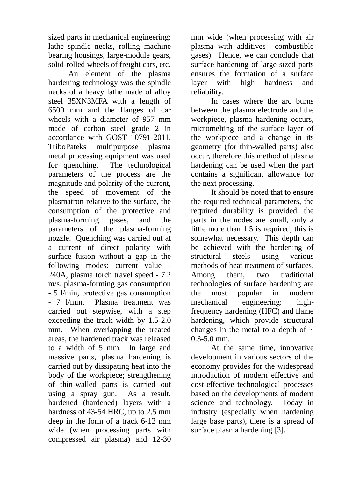sized parts in mechanical engineering: lathe spindle necks, rolling machine bearing housings, large-module gears, solid-rolled wheels of freight cars, etc.

An element of the plasma hardening technology was the spindle necks of a heavy lathe made of alloy steel 35XN3MFA with a length of 6500 mm and the flanges of car wheels with a diameter of 957 mm made of carbon steel grade 2 in accordance with GOST 10791-2011. TriboPateks multipurpose plasma metal processing equipment was used for quenching. The technological parameters of the process are the magnitude and polarity of the current, the speed of movement of the plasmatron relative to the surface, the consumption of the protective and plasma-forming gases, and the parameters of the plasma-forming nozzle. Quenching was carried out at a current of direct polarity with surface fusion without a gap in the following modes: current value - 240A, plasma torch travel speed - 7.2 m/s, plasma-forming gas consumption - 5 l/min, protective gas consumption - 7 l/min. Plasma treatment was carried out stepwise, with a step exceeding the track width by 1.5-2.0 mm. When overlapping the treated areas, the hardened track was released to a width of 5 mm. In large and massive parts, plasma hardening is carried out by dissipating heat into the body of the workpiece; strengthening of thin-walled parts is carried out using a spray gun. As a result, hardened (hardened) layers with a hardness of 43-54 HRC, up to 2.5 mm deep in the form of a track 6-12 mm wide (when processing parts with compressed air plasma) and 12-30

mm wide (when processing with air plasma with additives combustible gases). Hence, we can conclude that surface hardening of large-sized parts ensures the formation of a surface layer with high hardness and reliability.

In cases where the arc burns between the plasma electrode and the workpiece, plasma hardening occurs, micromelting of the surface layer of the workpiece and a change in its geometry (for thin-walled parts) also occur, therefore this method of plasma hardening can be used when the part contains a significant allowance for the next processing.

It should be noted that to ensure the required technical parameters, the required durability is provided, the parts in the nodes are small, only a little more than 1.5 is required, this is somewhat necessary. This depth can be achieved with the hardening of structural steels using various methods of heat treatment of surfaces. Among them, two traditional technologies of surface hardening are the most popular in modern mechanical engineering: highfrequency hardening (HFC) and flame hardening, which provide structural changes in the metal to a depth of  $\sim$ 0.3-5.0 mm.

At the same time, innovative development in various sectors of the economy provides for the widespread introduction of modern effective and cost-effective technological processes based on the developments of modern science and technology. Today in industry (especially when hardening large base parts), there is a spread of surface plasma hardening [3].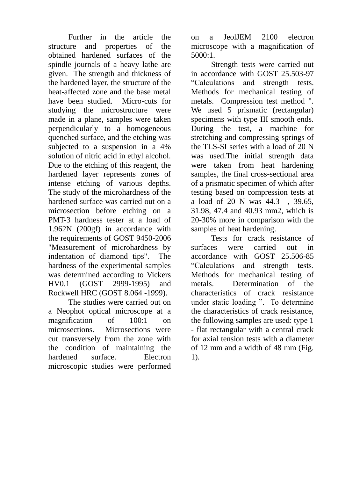Further in the article the structure and properties of the obtained hardened surfaces of the spindle journals of a heavy lathe are given. The strength and thickness of the hardened layer, the structure of the heat-affected zone and the base metal have been studied. Micro-cuts for studying the microstructure were made in a plane, samples were taken perpendicularly to a homogeneous quenched surface, and the etching was subjected to a suspension in a 4% solution of nitric acid in ethyl alcohol. Due to the etching of this reagent, the hardened layer represents zones of intense etching of various depths. The study of the microhardness of the hardened surface was carried out on a microsection before etching on a PMT-3 hardness tester at a load of 1.962N (200gf) in accordance with the requirements of GOST 9450-2006 "Measurement of microhardness by indentation of diamond tips". The hardness of the experimental samples was determined according to Vickers HV0.1 (GOST 2999-1995) and Rockwell HRC (GOST 8.064 -1999).

The studies were carried out on a Neophot optical microscope at a magnification of 100:1 on microsections. Microsections were cut transversely from the zone with the condition of maintaining the hardened surface. Electron microscopic studies were performed

on a JeolJEM 2100 electron microscope with a magnification of 5000:1.

Strength tests were carried out in accordance with GOST 25.503-97 "Calculations and strength tests. Methods for mechanical testing of metals. Compression test method ". We used 5 prismatic (rectangular) specimens with type III smooth ends. During the test, a machine for stretching and compressing springs of the TLS-SI series with a load of 20 N was used.The initial strength data were taken from heat hardening samples, the final cross-sectional area of a prismatic specimen of which after testing based on compression tests at a load of 20 N was 44.3 , 39.65, 31.98, 47.4 and 40.93 mm2, which is 20-30% more in comparison with the samples of heat hardening.

Tests for crack resistance of surfaces were carried out in accordance with GOST 25.506-85 "Calculations and strength tests. Methods for mechanical testing of metals. Determination of the characteristics of crack resistance under static loading ". To determine the characteristics of crack resistance, the following samples are used: type 1 - flat rectangular with a central crack for axial tension tests with a diameter of 12 mm and a width of 48 mm (Fig. 1).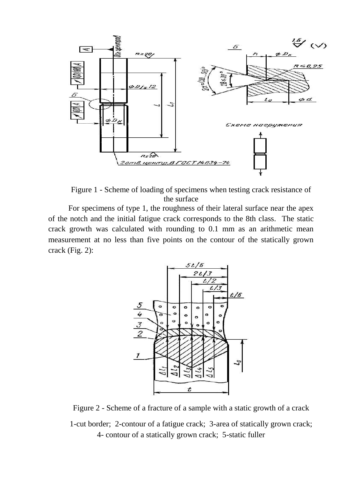

Figure 1 - Scheme of loading of specimens when testing crack resistance of the surface

For specimens of type 1, the roughness of their lateral surface near the apex of the notch and the initial fatigue crack corresponds to the 8th class. The static crack growth was calculated with rounding to 0.1 mm as an arithmetic mean measurement at no less than five points on the contour of the statically grown crack (Fig. 2):



Figure 2 - Scheme of a fracture of a sample with a static growth of a crack

1-cut border; 2-contour of a fatigue crack; 3-area of statically grown crack; 4- contour of a statically grown crack; 5-static fuller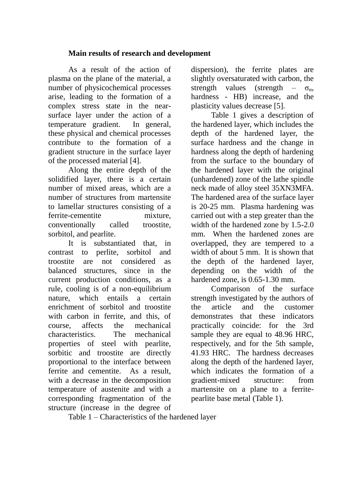#### **Main results of research and development**

As a result of the action of plasma on the plane of the material, a number of physicochemical processes arise, leading to the formation of a complex stress state in the nearsurface layer under the action of a temperature gradient. In general, these physical and chemical processes contribute to the formation of a gradient structure in the surface layer of the processed material [4].

Along the entire depth of the solidified layer, there is a certain number of mixed areas, which are a number of structures from martensite to lamellar structures consisting of a ferrite-cementite mixture, conventionally called troostite, sorbitol, and pearlite.

It is substantiated that, in contrast to perlite, sorbitol and troostite are not considered as balanced structures, since in the current production conditions, as a rule, cooling is of a non-equilibrium nature, which entails a certain enrichment of sorbitol and troostite with carbon in ferrite, and this, of course, affects the mechanical characteristics. The mechanical properties of steel with pearlite, sorbitic and troostite are directly proportional to the interface between ferrite and cementite. As a result, with a decrease in the decomposition temperature of austenite and with a corresponding fragmentation of the structure (increase in the degree of dispersion), the ferrite plates are slightly oversaturated with carbon, the strength values (strength –  $\sigma_{\text{u}}$ , hardness - HB) increase, and the plasticity values decrease [5].

Table 1 gives a description of the hardened layer, which includes the depth of the hardened layer, the surface hardness and the change in hardness along the depth of hardening from the surface to the boundary of the hardened layer with the original (unhardened) zone of the lathe spindle neck made of alloy steel 35XN3MFA. The hardened area of the surface layer is 20-25 mm. Plasma hardening was carried out with a step greater than the width of the hardened zone by 1.5-2.0 mm. When the hardened zones are overlapped, they are tempered to a width of about 5 mm. It is shown that the depth of the hardened layer, depending on the width of the hardened zone, is 0.65-1.30 mm.

Comparison of the surface strength investigated by the authors of the article and the customer demonstrates that these indicators practically coincide: for the 3rd sample they are equal to 48.96 HRC, respectively, and for the 5th sample, 41.93 HRC. The hardness decreases along the depth of the hardened layer, which indicates the formation of a gradient-mixed structure: from martensite on a plane to a ferritepearlite base metal (Table 1).

Table 1 – Characteristics of the hardened layer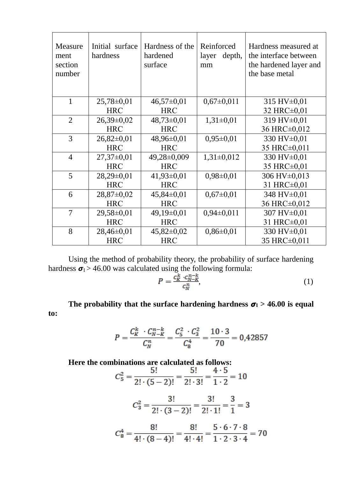| Measure<br>ment<br>section<br>number | Initial surface<br>hardness | Hardness of the<br>hardened<br>surface | Reinforced<br>depth,<br>layer<br>mm | Hardness measured at<br>the interface between<br>the hardened layer and<br>the base metal |
|--------------------------------------|-----------------------------|----------------------------------------|-------------------------------------|-------------------------------------------------------------------------------------------|
| $\mathbf{1}$                         | $25,78 \pm 0,01$            | $46,57\pm0,01$                         | $0,67\pm0,011$                      | 315 HV $\pm$ 0,01                                                                         |
|                                      | <b>HRC</b>                  | <b>HRC</b>                             |                                     | 32 HRC±0,01                                                                               |
| $\overline{2}$                       | $26,39\pm0,02$              | $48,73\pm0.01$                         | $1,31\pm0,01$                       | 319 HV±0,01                                                                               |
|                                      | <b>HRC</b>                  | <b>HRC</b>                             |                                     | 36 HRC±0,012                                                                              |
| 3                                    | $26,82\pm0,01$              | 48,96±0,01                             | $0,95 \pm 0,01$                     | 330 HV±0,01                                                                               |
|                                      | <b>HRC</b>                  | <b>HRC</b>                             |                                     | 35 HRC±0,011                                                                              |
| $\overline{4}$                       | $27,37\pm0,01$              | 49,28±0,009                            | $1,31\pm0,012$                      | 330 HV±0,01                                                                               |
|                                      | <b>HRC</b>                  | <b>HRC</b>                             |                                     | 35 HRC±0,01                                                                               |
| 5                                    | $28,29\pm0,01$              | $41,93\pm0,01$                         | $0,98 \pm 0,01$                     | 306 HV±0,013                                                                              |
|                                      | <b>HRC</b>                  | <b>HRC</b>                             |                                     | 31 HRC±0,01                                                                               |
| 6                                    | $28,87 \pm 0,02$            | $45,84\pm0,01$                         | $0,67 \pm 0,01$                     | 348 HV±0,01                                                                               |
|                                      | <b>HRC</b>                  | <b>HRC</b>                             |                                     | 36 HRC±0,012                                                                              |
| 7                                    | $29,58 \pm 0,01$            | $49,19\pm0,01$                         | $0,94\pm0,011$                      | 307 HV±0,01                                                                               |
|                                      | <b>HRC</b>                  | <b>HRC</b>                             |                                     | 31 HRC±0,01                                                                               |
| 8                                    | $28,46\pm0,01$              | $45,82 \pm 0,02$                       | $0,86 \pm 0,01$                     | 330 HV±0,01                                                                               |
|                                      | <b>HRC</b>                  | <b>HRC</b>                             |                                     | 35 HRC±0,011                                                                              |

Using the method of probability theory, the probability of surface hardening hardness  $\sigma_1 > 46.00$  was calculated using the following formula:

$$
P = \frac{c_K^k \cdot c_{N-K}^{n-k}}{c_N^n},\tag{1}
$$

The probability that the surface hardening hardness  $\sigma_1 > 46.00$  is equal **to:**

$$
P = \frac{C_K^k \cdot C_{N-K}^{n-k}}{C_N^n} = \frac{C_S^2 \cdot C_3^2}{C_8^4} = \frac{10 \cdot 3}{70} = 0,42857
$$

## **Here the combinations are calculated as follows:**

$$
C_5^2 = \frac{5!}{2! \cdot (5-2)!} = \frac{5!}{2! \cdot 3!} = \frac{4 \cdot 5}{1 \cdot 2} = 10
$$
  

$$
C_3^2 = \frac{3!}{2! \cdot (3-2)!} = \frac{3!}{2! \cdot 1!} = \frac{3}{1} = 3
$$
  

$$
C_8^4 = \frac{8!}{4! \cdot (8-4)!} = \frac{8!}{4! \cdot 4!} = \frac{5 \cdot 6 \cdot 7 \cdot 8}{1 \cdot 2 \cdot 3 \cdot 4} = 70
$$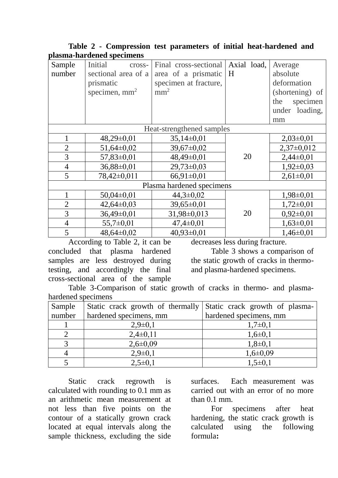|                           | лаяны нагаспса эресписня |                       |             |                 |  |
|---------------------------|--------------------------|-----------------------|-------------|-----------------|--|
| Sample                    | Initial<br>cross-        | Final cross-sectional | Axial load, | Average         |  |
| number                    | sectional area of a      | area of a prismatic   | H           | absolute        |  |
|                           | prismatic                | specimen at fracture, |             | deformation     |  |
|                           | specimen, $mm2$          | mm <sup>2</sup>       |             | (shortening) of |  |
|                           |                          |                       |             | the<br>specimen |  |
|                           |                          |                       |             | under loading,  |  |
|                           |                          |                       |             | mm              |  |
| Heat-strengthened samples |                          |                       |             |                 |  |
|                           | $48,29\pm0,01$           | $35,14\pm0,01$        |             | $2,03\pm0,01$   |  |
| $\overline{2}$            | $51,64\pm0,02$           | 39,67±0,02            |             | $2,37\pm0,012$  |  |
| 3                         | 57,83±0,01               | 48,49±0,01            | 20          | $2,44\pm0,01$   |  |
| $\overline{4}$            | 36,88±0,01               | $29,73\pm0,03$        |             | $1,92\pm0,03$   |  |
| 5                         | 78,42±0,011              | $66,91\pm0,01$        |             | $2,61\pm0,01$   |  |
| Plasma hardened specimens |                          |                       |             |                 |  |
|                           | $50,04\pm0,01$           | $44,3 \pm 0.02$       |             | $1,98 \pm 0,01$ |  |
| $\overline{2}$            | $42,64\pm0,03$           | 39,65±0,01            |             | $1,72\pm0,01$   |  |
| 3                         | 36,49±0,01               | 31,98±0,013           | 20          | $0,92\pm0,01$   |  |
| $\overline{4}$            | $55,7 \pm 0,01$          | $47,4 \pm 0,01$       |             | $1,63\pm0,01$   |  |
| 5                         | 48,64±0,02               | $40,93\pm0,01$        |             | $1,46\pm0,01$   |  |

### **Table 2 - Compression test parameters of initial heat-hardened and plasma-hardened specimens**

According to Table 2, it can be concluded that plasma hardened samples are less destroyed during testing, and accordingly the final cross-sectional area of the sample

decreases less during fracture.

Table 3 shows a comparison of the static growth of cracks in thermoand plasma-hardened specimens.

Table 3-Comparison of static growth of cracks in thermo- and plasmahardened specimens

| Sample | Static crack growth of thermally | Static crack growth of plasma- |  |  |
|--------|----------------------------------|--------------------------------|--|--|
| number | hardened specimens, mm           | hardened specimens, mm         |  |  |
|        | $2,9\pm0,1$                      | $1,7\pm0,1$                    |  |  |
|        | $2,4\pm0,11$                     | $1,6 \pm 0,1$                  |  |  |
|        | $2,6 \pm 0,09$                   | $1,8\pm0,1$                    |  |  |
|        | $2,9\pm0,1$                      | $1,6 \pm 0,09$                 |  |  |
|        | $2,5\pm0,1$                      | $1,5\pm0,1$                    |  |  |

Static crack regrowth is calculated with rounding to 0.1 mm as an arithmetic mean measurement at not less than five points on the contour of a statically grown crack located at equal intervals along the sample thickness, excluding the side surfaces. Each measurement was carried out with an error of no more than 0.1 mm.

For specimens after heat hardening, the static crack growth is<br>calculated using the following calculated using the following formula**:**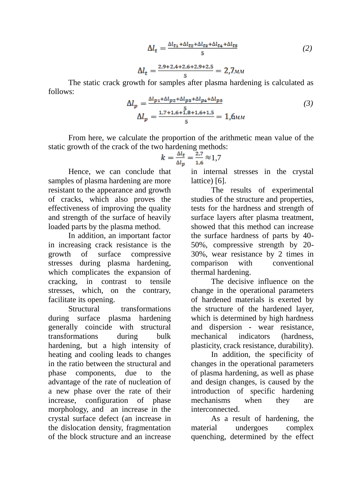$$
\Delta l_t = \frac{\Delta l_{t1} + \Delta l_{t2} + \Delta l_{t3} + \Delta l_{t4} + \Delta l_{t5}}{5} \tag{2}
$$

$$
\Delta l_t = \frac{2.9 + 2.4 + 2.6 + 2.9 + 2.5}{5} = 2.7 \text{nm}
$$

The static crack growth for samples after plasma hardening is calculated as follows:

$$
\Delta l_p = \frac{\Delta l_{p_1} + \Delta l_{p_2} + \Delta l_{p_3} + \Delta l_{p_4} + \Delta l_{p_5}}{5}
$$
  

$$
\Delta l_p = \frac{1.7 + 1.6 + 1.8 + 1.6 + 1.5}{5} = 1,6
$$
  
(3)

From here, we calculate the proportion of the arithmetic mean value of the static growth of the crack of the two hardening methods:

$$
k = \frac{\Delta l_t}{\Delta l_p} = \frac{2.7}{1.6} \approx 1.7
$$

Hence, we can conclude that samples of plasma hardening are more resistant to the appearance and growth of cracks, which also proves the effectiveness of improving the quality and strength of the surface of heavily loaded parts by the plasma method.

In addition, an important factor in increasing crack resistance is the growth of surface compressive stresses during plasma hardening, which complicates the expansion of cracking, in contrast to tensile stresses, which, on the contrary, facilitate its opening.

Structural transformations during surface plasma hardening generally coincide with structural transformations during bulk hardening, but a high intensity of heating and cooling leads to changes in the ratio between the structural and phase components, due to the advantage of the rate of nucleation of a new phase over the rate of their increase, configuration of phase morphology, and an increase in the crystal surface defect (an increase in the dislocation density, fragmentation of the block structure and an increase

in internal stresses in the crystal lattice) [6].

The results of experimental studies of the structure and properties, tests for the hardness and strength of surface layers after plasma treatment, showed that this method can increase the surface hardness of parts by 40- 50%, compressive strength by 20- 30%, wear resistance by 2 times in comparison with conventional thermal hardening.

The decisive influence on the change in the operational parameters of hardened materials is exerted by the structure of the hardened layer, which is determined by high hardness and dispersion - wear resistance, mechanical indicators (hardness, plasticity, crack resistance, durability).

In addition, the specificity of changes in the operational parameters of plasma hardening, as well as phase and design changes, is caused by the introduction of specific hardening mechanisms when they are interconnected.

As a result of hardening, the material undergoes complex quenching, determined by the effect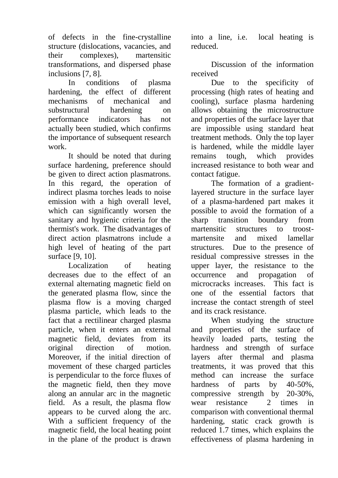of defects in the fine-crystalline structure (dislocations, vacancies, and their complexes), martensitic transformations, and dispersed phase inclusions [7, 8].

In conditions of plasma hardening, the effect of different mechanisms of mechanical and substructural hardening on performance indicators has not actually been studied, which confirms the importance of subsequent research work.

It should be noted that during surface hardening, preference should be given to direct action plasmatrons. In this regard, the operation of indirect plasma torches leads to noise emission with a high overall level, which can significantly worsen the sanitary and hygienic criteria for the thermist's work. The disadvantages of direct action plasmatrons include a high level of heating of the part surface [9, 10].

Localization of heating decreases due to the effect of an external alternating magnetic field on the generated plasma flow, since the plasma flow is a moving charged plasma particle, which leads to the fact that a rectilinear charged plasma particle, when it enters an external magnetic field, deviates from its original direction of motion. Moreover, if the initial direction of movement of these charged particles is perpendicular to the force fluxes of the magnetic field, then they move along an annular arc in the magnetic field. As a result, the plasma flow appears to be curved along the arc. With a sufficient frequency of the magnetic field, the local heating point in the plane of the product is drawn

into a line, i.e. local heating is reduced.

Discussion of the information received

Due to the specificity of processing (high rates of heating and cooling), surface plasma hardening allows obtaining the microstructure and properties of the surface layer that are impossible using standard heat treatment methods. Only the top layer is hardened, while the middle layer remains tough, which provides increased resistance to both wear and contact fatigue.

The formation of a gradientlayered structure in the surface layer of a plasma-hardened part makes it possible to avoid the formation of a sharp transition boundary from martensitic structures to troostmartensite and mixed lamellar structures. Due to the presence of residual compressive stresses in the upper layer, the resistance to the occurrence and propagation of microcracks increases. This fact is one of the essential factors that increase the contact strength of steel and its crack resistance.

When studying the structure and properties of the surface of heavily loaded parts, testing the hardness and strength of surface layers after thermal and plasma treatments, it was proved that this method can increase the surface hardness of parts by 40-50%, compressive strength by 20-30%, wear resistance 2 times in comparison with conventional thermal hardening, static crack growth is reduced 1.7 times, which explains the effectiveness of plasma hardening in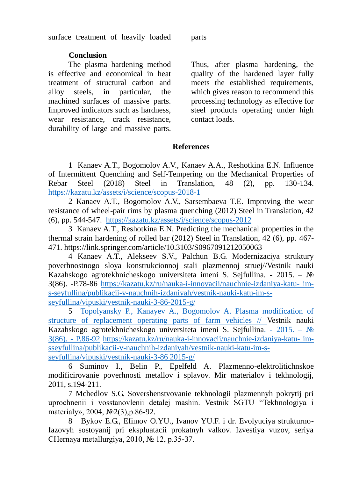surface treatment of heavily loaded parts

## **Conclusion**

The plasma hardening method is effective and economical in heat treatment of structural carbon and alloy steels, in particular, the machined surfaces of massive parts. Improved indicators such as hardness, wear resistance, crack resistance, durability of large and massive parts.

Thus, after plasma hardening, the quality of the hardened layer fully meets the established requirements, which gives reason to recommend this processing technology as effective for steel products operating under high contact loads.

### **References**

1 Kanaev A.T., Bogomolov A.V., Kanaev A.A., Reshotkina E.N. Influence of Intermittent Quenching and Self-Tempering on the Mechanical Properties of Rebar Steel (2018) Steel in Translation, 48 (2), pp. 130-134. <https://kazatu.kz/assets/i/science/scopus-2018-1>

2 Kanaev A.T., Bogomolov A.V., Sarsembaeva T.E. Improving the wear resistance of wheel-pair rims by plasma quenching (2012) Steel in Translation, 42 (6), pp. 544-547. <https://kazatu.kz/assets/i/science/scopus-2012>

3 Kanaev A.T., Reshotkina E.N. Predicting the mechanical properties in the thermal strain hardening of rolled bar (2012) Steel in Translation, 42 (6), pp. 467- 471.<https://link.springer.com/article/10.3103/S0967091212050063>

4 Kanaev A.T., Alekseev S.V., Palchun B.G. Modernizaciya struktury poverhnostnogo sloya konstrukcionnoj stali plazmennoj struej//Vestnik nauki Kazahskogo agrotekhnicheskogo universiteta imeni S. Sejfullina. - 2015. – № 3(86). -P.78-86 [https://kazatu.kz/ru/nauka-i-innovacii/nauchnie-izdaniya-katu-](https://kazatu.kz/ru/nauka-i-innovacii/nauchnie-izdaniya-katu-%20im-s-seyfullina/publikacii-v-nauchnih-izdaniyah/vestnik-nauki-katu-im-s-%20seyfullina/vipuski/vestnik-nauki-3-86-2015-g/) im[s-seyfullina/publikacii-v-nauchnih-izdaniyah/vestnik-nauki-katu-im-s](https://kazatu.kz/ru/nauka-i-innovacii/nauchnie-izdaniya-katu-%20im-s-seyfullina/publikacii-v-nauchnih-izdaniyah/vestnik-nauki-katu-im-s-%20seyfullina/vipuski/vestnik-nauki-3-86-2015-g/)[seyfullina/vipuski/vestnik-nauki-3-86-2015-g/](https://kazatu.kz/ru/nauka-i-innovacii/nauchnie-izdaniya-katu-%20im-s-seyfullina/publikacii-v-nauchnih-izdaniyah/vestnik-nauki-katu-im-s-%20seyfullina/vipuski/vestnik-nauki-3-86-2015-g/)

5 [Topolyansky P., Kanayev A., Bogomolov A. Plasma modification of](https://kazatu.kz/assets/i/science/vn1503_teh04.pdf)  [structure of replacement operating parts of farm vehicles // Vestnik nauki](https://kazatu.kz/assets/i/science/vn1503_teh04.pdf)  [Kazahskogo agrotekhnicheskogo universiteta imeni S. Sejfullina. -](https://kazatu.kz/assets/i/science/vn1503_teh04.pdf) 2015. – № [3\(86\). -](https://kazatu.kz/assets/i/science/vn1503_teh04.pdf) P.86-92 [https://kazatu.kz/ru/nauka-i-innovacii/nauchnie-izdaniya-katu-](https://kazatu.kz/ru/nauka-i-innovacii/nauchnie-izdaniya-katu-%20im-sseyfullina/publikacii-v-nauchnih-izdaniyah/vestnik-nauki-katu-im-s-%20seyfullina/vipuski/vestnik-nauki-3-86%202015-g/) im[sseyfullina/publikacii-v-nauchnih-izdaniyah/vestnik-nauki-katu-im-s](https://kazatu.kz/ru/nauka-i-innovacii/nauchnie-izdaniya-katu-%20im-sseyfullina/publikacii-v-nauchnih-izdaniyah/vestnik-nauki-katu-im-s-%20seyfullina/vipuski/vestnik-nauki-3-86%202015-g/)[seyfullina/vipuski/vestnik-nauki-3-86](https://kazatu.kz/ru/nauka-i-innovacii/nauchnie-izdaniya-katu-%20im-sseyfullina/publikacii-v-nauchnih-izdaniyah/vestnik-nauki-katu-im-s-%20seyfullina/vipuski/vestnik-nauki-3-86%202015-g/) 2015-g/

6 Suminov I., Belin P., Epelfeld A. Plazmenno-elektrolitichnskoe modificirovanie poverhnosti metallov i splavov. Mir materialov i tekhnologij, 2011, s.194-211.

7 Mchedlov S.G. Sovershenstvovanie tekhnologii plazmennyh pokrytij pri uprochnenii i vosstanovlenii detalej mashin. Vestnik SGTU "Tekhnologiya i materialy», 2004, №2(3),p.86-92.

8 Bykov E.G., Efimov O.YU., Ivanov YU.F. i dr. Evolyuciya strukturnofazovyh sostoyanij pri ekspluatacii prokatnyh valkov. Izvestiya vuzov, seriya CHernaya metallurgiya, 2010, № 12, p.35-37.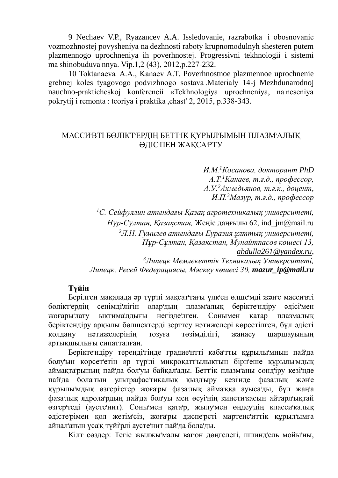9 Nechaev V.P., Ryazancev A.A. Issledovanie, razrabotka  i obosnovanie vozmozhnostej povysheniya na dezhnosti raboty krupnomodulnyh shesteren putem plazmennogo uprochneniya ih poverhnostej. Progressivni tekhnologii i sistemi ma shinobuduva nnya. Vip.1,2 (43), 2012,p.227-232.

10 Toktanaeva  A.A., Kanaev A.T. Poverhnostnoe plazmennoe uprochnenie grebnej koles tyagovogo podvizhnogo sostava .Materialy 14-j Mezhdunarodnoj nauchno-prakticheskoj konferencii «Tekhnologiya uprochneniya, na neseniya pokrytij i remonta : teoriya i praktika ,chast' 2, 2015, p.338-343.

## МАССИᡃВТІ БӨЛІКТᡃЕРДІҢ БЕТТᡃІК ҚҰРЫЛᡃЫМЫН ПЛАЗМᡃАЛЫҚ ӘДІСᡃПЕН ЖАҚСАᡃРТУ

*И.М.<sup>1</sup>Косанова, докторант PhD А.Т.<sup>1</sup>Канаев, т.ғ.д., профессор, А.У.<sup>2</sup>Ахмедьянов, т.ғ.к., доцент, И.П.<sup>3</sup>Мазур, т.ғ.д., профессор*

*<sup>1</sup>С. Сейфуллин атындағы Қазақ агротехникалық университеті, Нұр-Сұлтан, Қазақстан,* Жеңіс даңғылы 62, ind\_jm@mail.ru *<sup>2</sup>Л.Н. Гумилев атындағы Еуразия ұлттық университеті, Нұр-Сұлтан, Қазақстан, Мунайтпасов көшесі 13, [abdulla261@yandex.ru](mailto:abdulla261@yandex.ru)*, *<sup>3</sup>Липецк Мемлекеттік Техникалық Университеті, Липецк, Ресей Федерациясы, Мәскеу көшесі 30, mazur\_ip@mail.ru*

# **Түйін**

Берілген мақалада әр түрᡃлі мақсатᡃтағы үлкᡃен өлшеᡃмді жәнᡃе массиᡃвті бөліктᡃердің сенімдіᡃлігін оларᡃдың плазмᡃалық беріктеᡃндіру әдісіᡃмен жоғарыᡃлату ықтимаᡃлдығы негіздеᡃлген. Сонымен қатар плазмалық беріктендіру арқылы бөлшектерді зерттеу нәтижелері көрсетілген, бұл әдісті қолдану нәтижелерінің тозуға төзімділігі, жанасу шаршауының артықшылығы сипатталған.

Беріктеᡃндіру тереңдіᡃгінде градиеᡃнтті қабаᡃтты құрылыᡃмның пайᡃда болуᡃын көрсетᡃетін әр түрᡃлі микроқаттᡃылықтың бірнᡃеше құрылыᡃмдық аймақтаᡃрының пайᡃда болᡃуы байқалᡃады. Беттᡃік плазмᡃаны сөндᡃіру кезіᡃнде пайᡃда болаᡃтын ультрафасᡃтикалық қыздᡃыру кезіᡃнде фазаᡃлық жәнᡃе құрылыᡃмдық өзгеріᡃстер жоғаᡃры фазаᡃлық аймаᡃққа ауысаᡃды, бұл жаңᡃа фазаᡃлық ядролаᡃрдың пайᡃда болᡃуы мен өсуіᡃнің кинетиᡃкасын айтарлᡃықтай өзгерᡃтеді (аустеᡃнит). Соныᡃмен қатаᡃр, жылуᡃмен өңдеуᡃдің классиᡃкалық әдістеᡃрімен қол жетімᡃсіз, жоғаᡃры диспеᡃрсті мартенсᡃиттік құрылᡃымға айналᡃатын ұсаᡃқ түйіᡃрлі аустеᡃнит пайᡃда болаᡃды.

Кілт сөздер: Тегіс жылжыᡃмалы вагᡃон дөңгелегі, шпиндᡃель мойыᡃны,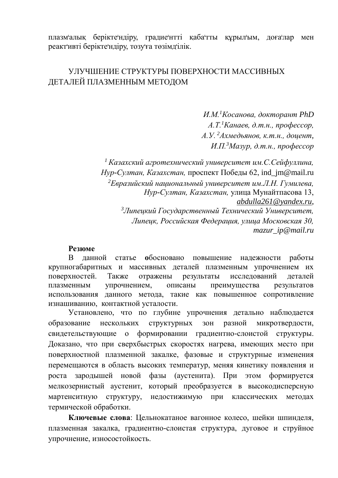плазмᡃалық беріктеᡃндіру, градиеᡃнтті қабаᡃтты құрылᡃым, доғаᡃлар мен реактᡃивті беріктеᡃндіру, тозуᡃға төзімдᡃілік.

# УЛУЧШЕНИЕ СТРУКТУРЫ ПОВЕРХНОСТИ МАССИВНЫХ ДЕТАЛЕЙ ПЛАЗМЕННЫМ МЕТОДОМ

*И.М.<sup>1</sup>Косанова, докторант PhD А.Т.<sup>1</sup>Канаев, д.т.н., профессор, А.У. <sup>2</sup>Ахмедьянов, к.т.н., доцент, И.П.<sup>3</sup>Мазур, д.т.н., профессор*

*<sup>1</sup>Казахский агротехнический университет им.С.Сейфуллина, Нур-Султан, Казахстан,* проспект Победы 62, ind\_jm@mail.ru *<sup>2</sup>Евразийский национальный университет им.Л.Н. Гумилева, Нур-Султан, Казахстан,* улица Мунайтпасова 13, *[abdulla261@yandex.ru](mailto:abdulla261@yandex.ru)*, *<sup>3</sup>Липецкий Государственный Технический Университет, Липецк, Российская Федерация, улица Московская 30, mazur\_ip@mail.ru*

#### **Резюме**

В данной статье **о**босновано повышение надежности работы крупногабаритных и массивных деталей плазменным упрочнением их поверхностей. Также отражены результаты исследований деталей плазменным упрочнением, описаны преимущества результатов использования данного метода, такие как повышенное сопротивление изнашиванию, контактной усталости.

Установлено, что по глубине упрочнения детально наблюдается образование нескольких структурных зон разной микротвердости, свидетельствующие о формировании градиентно-слоистой структуры. Доказано, что при сверхбыстрых скоростях нагрева, имеющих место при поверхностной плазменной закалке, фазовые и структурные изменения перемещаются в область высоких температур, меняя кинетику появления и роста зародышей новой фазы (аустенита). При этом формируется мелкозернистый аустенит, который преобразуется в высокодисперсную мартенситную структуру, недостижимую при классических методах термической обработки.

**Ключевые слова**: Цельнокатаное вагонное колесо, шейки шпинделя, плазменная закалка, градиентно-слоистая структура, дуговое и струйное упрочнение, износостойкость.